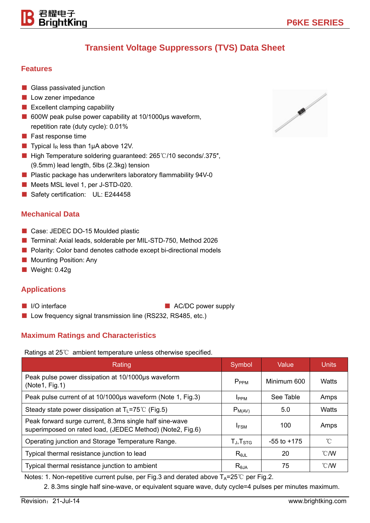## **Transient Voltage Suppressors (TVS) Data Sheet**

#### **Features**

- Glass passivated junction
- Low zener impedance

君耀电子 BriahtKina

- Excellent clamping capability
- 600W peak pulse power capability at 10/1000µs waveform, repetition rate (duty cycle): 0.01%
- Fast response time
- **Typical I<sub>R</sub>** less than 1 $\mu$ A above 12V.
- High Temperature soldering guaranteed: 265 °C/10 seconds/.375", (9.5mm) lead length, 5lbs (2.3kg) tension
- Plastic package has underwriters laboratory flammability 94V-0
- Meets MSL level 1, per J-STD-020.
- Safety certification: UL: E244458

#### **Mechanical Data**

- Case: JEDEC DO-15 Moulded plastic
- Terminal: Axial leads, solderable per MIL-STD-750, Method 2026
- Polarity: Color band denotes cathode except bi-directional models
- Mounting Position: Any
- Weight: 0.42g

#### **Applications**

- 
- I/O interface AC/DC power supply
- Low frequency signal transmission line (RS232, RS485, etc.)

### **Maximum Ratings and Characteristics**

Ratings at 25℃ ambient temperature unless otherwise specified.

| Rating                                                                                                               | Symbol              | Value           | <b>Units</b>   |
|----------------------------------------------------------------------------------------------------------------------|---------------------|-----------------|----------------|
| Peak pulse power dissipation at 10/1000µs waveform<br>(Note1, Fig.1)                                                 | $P_{PPM}$           | Minimum 600     | Watts          |
| Peak pulse current of at 10/1000µs waveform (Note 1, Fig.3)                                                          | <b>I</b> PPM        | See Table       | Amps           |
| Steady state power dissipation at $T_L$ =75°C (Fig.5)                                                                | $P_{M(AV)}$         | 5.0             | Watts          |
| Peak forward surge current, 8.3ms single half sine-wave<br>superimposed on rated load, (JEDEC Method) (Note2, Fig.6) | <b>IFSM</b>         | 100             | Amps           |
| Operating junction and Storage Temperature Range.                                                                    | $T_{J}$ , $T_{STG}$ | $-55$ to $+175$ | °C             |
| Typical thermal resistance junction to lead                                                                          | $R_{\theta JL}$     | 20              | $^{\circ}$ C/W |
| Typical thermal resistance junction to ambient                                                                       | $R_{\theta$ JA      | 75              | $\degree$ C/W  |

Notes: 1. Non-repetitive current pulse, per Fig.3 and derated above  $T_A=25^\circ\text{C}$  per Fig.2.

2. 8.3ms single half sine-wave, or equivalent square wave, duty cycle=4 pulses per minutes maximum.

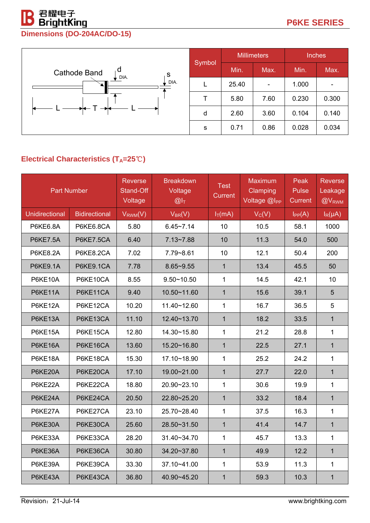# 君耀电子<br>BrightKing

## **Dimensions (DO-204AC/DO-15)**



## **Electrical Characteristics (T<sub>A</sub>=25℃)**

|                       | <b>Part Number</b>   | <b>Reverse</b><br>Stand-Off<br>Voltage | <b>Breakdown</b><br>Voltage<br>$@I_T$ | <b>Test</b><br><b>Current</b> | <b>Maximum</b><br>Clamping<br>Voltage @I <sub>PP</sub> | Peak<br><b>Pulse</b><br><b>Current</b> | <b>Reverse</b><br>Leakage<br>@V <sub>RWM</sub> |
|-----------------------|----------------------|----------------------------------------|---------------------------------------|-------------------------------|--------------------------------------------------------|----------------------------------------|------------------------------------------------|
| <b>Unidirectional</b> | <b>Bidirectional</b> | $V_{RWM}(V)$                           | $V_{BR}(V)$                           | $I_T(mA)$                     | $V_C(V)$                                               | $I_{PP}(A)$                            | $I_R(\mu A)$                                   |
| <b>P6KE6.8A</b>       | P6KE6.8CA            | 5.80                                   | $6.45 - 7.14$                         | 10                            | 10.5                                                   | 58.1                                   | 1000                                           |
| <b>P6KE7.5A</b>       | <b>P6KE7.5CA</b>     | 6.40                                   | $7.13 - 7.88$                         | 10                            | 11.3                                                   | 54.0                                   | 500                                            |
| <b>P6KE8.2A</b>       | P6KE8.2CA            | 7.02                                   | 7.79~8.61                             | 10                            | 12.1                                                   | 50.4                                   | 200                                            |
| <b>P6KE9.1A</b>       | <b>P6KE9.1CA</b>     | 7.78                                   | $8.65 - 9.55$                         | $\mathbf{1}$                  | 13.4                                                   | 45.5                                   | 50                                             |
| P6KE10A               | P6KE10CA             | 8.55                                   | $9.50 - 10.50$                        | $\mathbf{1}$                  | 14.5                                                   | 42.1                                   | 10                                             |
| P6KE11A               | P6KE11CA             | 9.40                                   | 10.50~11.60                           | $\mathbf{1}$                  | 15.6                                                   | 39.1                                   | 5                                              |
| P6KE12A               | P6KE12CA             | 10.20                                  | 11.40~12.60                           | $\mathbf{1}$                  | 16.7                                                   | 36.5                                   | 5                                              |
| P6KE13A               | P6KE13CA             | 11.10                                  | 12.40~13.70                           | $\mathbf{1}$                  | 18.2                                                   | 33.5                                   | $\mathbf{1}$                                   |
| P6KE15A               | P6KE15CA             | 12.80                                  | 14.30~15.80                           | $\mathbf{1}$                  | 21.2                                                   | 28.8                                   | $\mathbf{1}$                                   |
| P6KE16A               | P6KE16CA             | 13.60                                  | 15.20~16.80                           | $\mathbf{1}$                  | 22.5                                                   | 27.1                                   | $\mathbf{1}$                                   |
| P6KE18A               | P6KE18CA             | 15.30                                  | 17.10~18.90                           | $\mathbf{1}$                  | 25.2                                                   | 24.2                                   | $\mathbf{1}$                                   |
| P6KE20A               | P6KE20CA             | 17.10                                  | 19.00~21.00                           | $\mathbf{1}$                  | 27.7                                                   | 22.0                                   | $\mathbf{1}$                                   |
| P6KE22A               | P6KE22CA             | 18.80                                  | 20.90~23.10                           | $\mathbf{1}$                  | 30.6                                                   | 19.9                                   | $\mathbf{1}$                                   |
| P6KE24A               | P6KE24CA             | 20.50                                  | 22.80~25.20                           | $\mathbf{1}$                  | 33.2                                                   | 18.4                                   | $\mathbf{1}$                                   |
| P6KE27A               | P6KE27CA             | 23.10                                  | 25.70~28.40                           | $\mathbf{1}$                  | 37.5                                                   | 16.3                                   | 1                                              |
| P6KE30A               | P6KE30CA             | 25.60                                  | 28.50~31.50                           | $\mathbf{1}$                  | 41.4                                                   | 14.7                                   | $\mathbf{1}$                                   |
| P6KE33A               | P6KE33CA             | 28.20                                  | 31.40~34.70                           | $\mathbf{1}$                  | 45.7                                                   | 13.3                                   | $\mathbf{1}$                                   |
| P6KE36A               | P6KE36CA             | 30.80                                  | 34.20~37.80                           | $\mathbf{1}$                  | 49.9                                                   | 12.2                                   | $\mathbf{1}$                                   |
| P6KE39A               | P6KE39CA             | 33.30                                  | 37.10~41.00                           | $\mathbf{1}$                  | 53.9                                                   | 11.3                                   | $\mathbf{1}$                                   |
| P6KE43A               | P6KE43CA             | 36.80                                  | 40.90~45.20                           | $\mathbf{1}$                  | 59.3                                                   | 10.3                                   | $\mathbf{1}$                                   |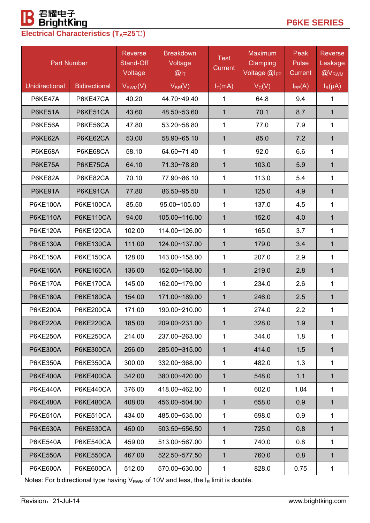# **B** 君耀电子<br>Electrical Characteristics (T<sub>A</sub>=25℃)

|                       | <b>Part Number</b>   | <b>Reverse</b><br>Stand-Off<br>Voltage | <b>Breakdown</b><br>Voltage<br>$@I_T$ | <b>Test</b><br>Current | <b>Maximum</b><br>Clamping<br>Voltage @I <sub>PP</sub> | Peak<br><b>Pulse</b><br>Current | <b>Reverse</b><br>Leakage<br>@V <sub>RWM</sub> |
|-----------------------|----------------------|----------------------------------------|---------------------------------------|------------------------|--------------------------------------------------------|---------------------------------|------------------------------------------------|
| <b>Unidirectional</b> | <b>Bidirectional</b> | $V_{RWM}(V)$                           | $V_{BR}(V)$                           | $I_T(mA)$              | $V_C(V)$                                               | $I_{PP}(A)$                     | $I_R(\mu A)$                                   |
| P6KE47A               | P6KE47CA             | 40.20                                  | 44.70~49.40                           | 1                      | 64.8                                                   | 9.4                             | 1                                              |
| P6KE51A               | P6KE51CA             | 43.60                                  | 48.50~53.60                           | $\mathbf 1$            | 70.1                                                   | 8.7                             | 1                                              |
| P6KE56A               | P6KE56CA             | 47.80                                  | 53.20~58.80                           | $\mathbf{1}$           | 77.0                                                   | 7.9                             | $\mathbf{1}$                                   |
| P6KE62A               | P6KE62CA             | 53.00                                  | 58.90~65.10                           | $\mathbf{1}$           | 85.0                                                   | 7.2                             | 1                                              |
| P6KE68A               | P6KE68CA             | 58.10                                  | 64.60~71.40                           | $\mathbf{1}$           | 92.0                                                   | 6.6                             | 1                                              |
| P6KE75A               | P6KE75CA             | 64.10                                  | 71.30~78.80                           | $\mathbf{1}$           | 103.0                                                  | 5.9                             | $\mathbf{1}$                                   |
| P6KE82A               | P6KE82CA             | 70.10                                  | 77.90~86.10                           | $\mathbf{1}$           | 113.0                                                  | 5.4                             | 1                                              |
| P6KE91A               | P6KE91CA             | 77.80                                  | 86.50~95.50                           | $\mathbf{1}$           | 125.0                                                  | 4.9                             | 1                                              |
| <b>P6KE100A</b>       | <b>P6KE100CA</b>     | 85.50                                  | 95.00~105.00                          | $\mathbf{1}$           | 137.0                                                  | 4.5                             | 1                                              |
| <b>P6KE110A</b>       | <b>P6KE110CA</b>     | 94.00                                  | 105.00~116.00                         | $\mathbf{1}$           | 152.0                                                  | 4.0                             | $\mathbf{1}$                                   |
| <b>P6KE120A</b>       | P6KE120CA            | 102.00                                 | 114.00~126.00                         | 1                      | 165.0                                                  | 3.7                             | 1                                              |
| <b>P6KE130A</b>       | <b>P6KE130CA</b>     | 111.00                                 | 124.00~137.00                         | $\mathbf 1$            | 179.0                                                  | 3.4                             | 1                                              |
| <b>P6KE150A</b>       | <b>P6KE150CA</b>     | 128.00                                 | 143.00~158.00                         | $\mathbf 1$            | 207.0                                                  | 2.9                             | 1                                              |
| <b>P6KE160A</b>       | <b>P6KE160CA</b>     | 136.00                                 | 152.00~168.00                         | $\mathbf 1$            | 219.0                                                  | 2.8                             | 1                                              |
| <b>P6KE170A</b>       | P6KE170CA            | 145.00                                 | 162.00~179.00                         | $\mathbf{1}$           | 234.0                                                  | 2.6                             | 1                                              |
| <b>P6KE180A</b>       | <b>P6KE180CA</b>     | 154.00                                 | 171.00~189.00                         | $\mathbf{1}$           | 246.0                                                  | 2.5                             | $\mathbf{1}$                                   |
| <b>P6KE200A</b>       | P6KE200CA            | 171.00                                 | 190.00~210.00                         | 1                      | 274.0                                                  | 2.2                             | 1                                              |
| <b>P6KE220A</b>       | P6KE220CA            | 185.00                                 | 209.00~231.00                         | $\mathbf{1}$           | 328.0                                                  | 1.9                             | $\mathbf{1}$                                   |
| <b>P6KE250A</b>       | P6KE250CA            | 214.00                                 | 237.00~263.00                         | 1                      | 344.0                                                  | 1.8                             | 1                                              |
| <b>P6KE300A</b>       | P6KE300CA            | 256.00                                 | 285.00~315.00                         | $\mathbf{1}$           | 414.0                                                  | 1.5                             | $\mathbf 1$                                    |
| <b>P6KE350A</b>       | P6KE350CA            | 300.00                                 | 332.00~368.00                         | 1                      | 482.0                                                  | 1.3                             | 1                                              |
| <b>P6KE400A</b>       | P6KE400CA            | 342.00                                 | 380.00~420.00                         | $\mathbf{1}$           | 548.0                                                  | 1.1                             | $\mathbf 1$                                    |
| <b>P6KE440A</b>       | P6KE440CA            | 376.00                                 | 418.00~462.00                         | $\mathbf 1$            | 602.0                                                  | 1.04                            | 1                                              |
| <b>P6KE480A</b>       | P6KE480CA            | 408.00                                 | 456.00~504.00                         | $\mathbf{1}$           | 658.0                                                  | 0.9                             | 1                                              |
| <b>P6KE510A</b>       | P6KE510CA            | 434.00                                 | 485.00~535.00                         | $\mathbf{1}$           | 698.0                                                  | 0.9                             | 1                                              |
| <b>P6KE530A</b>       | P6KE530CA            | 450.00                                 | 503.50~556.50                         | $\mathbf{1}$           | 725.0                                                  | 0.8                             | 1                                              |
| <b>P6KE540A</b>       | P6KE540CA            | 459.00                                 | 513.00~567.00                         | 1                      | 740.0                                                  | 0.8                             | $\mathbf{1}$                                   |
| <b>P6KE550A</b>       | P6KE550CA            | 467.00                                 | 522.50~577.50                         | 1                      | 760.0                                                  | 0.8                             | 1                                              |
| <b>P6KE600A</b>       | <b>P6KE600CA</b>     | 512.00                                 | 570.00~630.00                         | $\mathbf 1$            | 828.0                                                  | 0.75                            | $\mathbf{1}$                                   |

Notes: For bidirectional type having  $V_{RWM}$  of 10V and less, the  $I_R$  limit is double.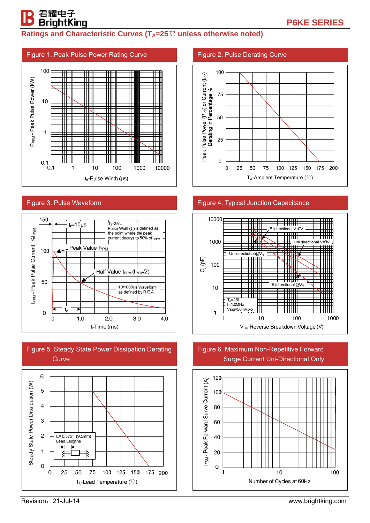## **Ratings and Characteristic Curves (T<sub>A</sub>=25<sup>°</sup>C unless otherwise noted)**

#### Figure 1. Peak Pulse Power Rating Curve 100 P<sub>PPM</sub>-Peak Pulse Power (kW) P<sub>PPM</sub> - Peak Pulse Power (kW) ▓ ₩  $10$ ₩ Ш  $\mathbf{1}$ IШ  $0.1$  $0.1$  $\overline{1}$  $10$  $100$  $1000$ 10000 t<sub>d</sub>-Pulse Width (µs)

#### Figure 3. Pulse Waveform

君耀电子 BrightKing







#### Figure 2. Pulse Derating Curve



#### Figure 4. Typical Junction Capacitance



#### Figure 6. Maximum Non-Repetitive Forward Surge Current Uni-Directional Only



Revision:21-Jul-14 www.brightking.com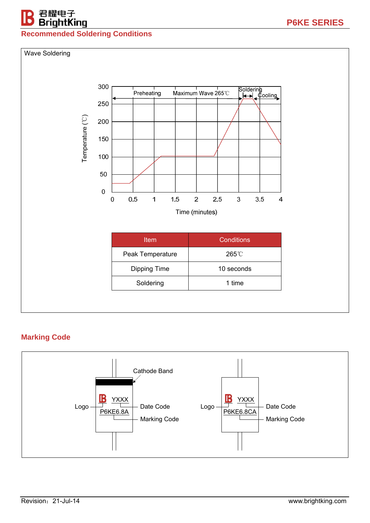## 君耀电子<br>**BrightKing**

## **Recommended Soldering Conditions**



## **Marking Code**